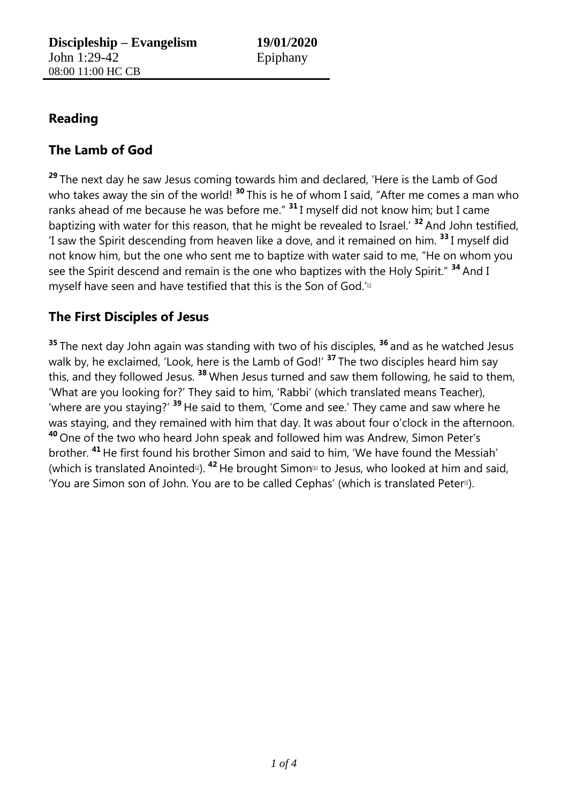## **Reading**

## **The Lamb of God**

**<sup>29</sup>** The next day he saw Jesus coming towards him and declared, 'Here is the Lamb of God who takes away the sin of the world!<sup>30</sup> This is he of whom I said, "After me comes a man who ranks ahead of me because he was before me." **<sup>31</sup>** I myself did not know him; but I came baptizing with water for this reason, that he might be revealed to Israel.' **<sup>32</sup>** And John testified, 'I saw the Spirit descending from heaven like a dove, and it remained on him. **<sup>33</sup>** I myself did not know him, but the one who sent me to baptize with water said to me, "He on whom you see the Spirit descend and remain is the one who baptizes with the Holy Spirit." **<sup>34</sup>** And I myself have seen and have testified that this is the Son of God.'<sup>II</sup>

## **The First Disciples of Jesus**

**<sup>35</sup>** The next day John again was standing with two of his disciples, **<sup>36</sup>** and as he watched Jesus walk by, he exclaimed, 'Look, here is the Lamb of God!' **<sup>37</sup>** The two disciples heard him say this, and they followed Jesus. **<sup>38</sup>** When Jesus turned and saw them following, he said to them, 'What are you looking for?' They said to him, 'Rabbi' (which translated means Teacher), 'where are you staying?' **<sup>39</sup>** He said to them, 'Come and see.' They came and saw where he was staying, and they remained with him that day. It was about four o'clock in the afternoon. **<sup>40</sup>** One of the two who heard John speak and followed him was Andrew, Simon Peter's brother. **<sup>41</sup>** He first found his brother Simon and said to him, 'We have found the Messiah' (which is translated Anointed<sup>to</sup>). <sup>42</sup> He brought Simon<sup>®</sup> to Jesus, who looked at him and said, 'You are Simon son of John. You are to be called Cephas' (which is translated Peter<sup>®</sup>).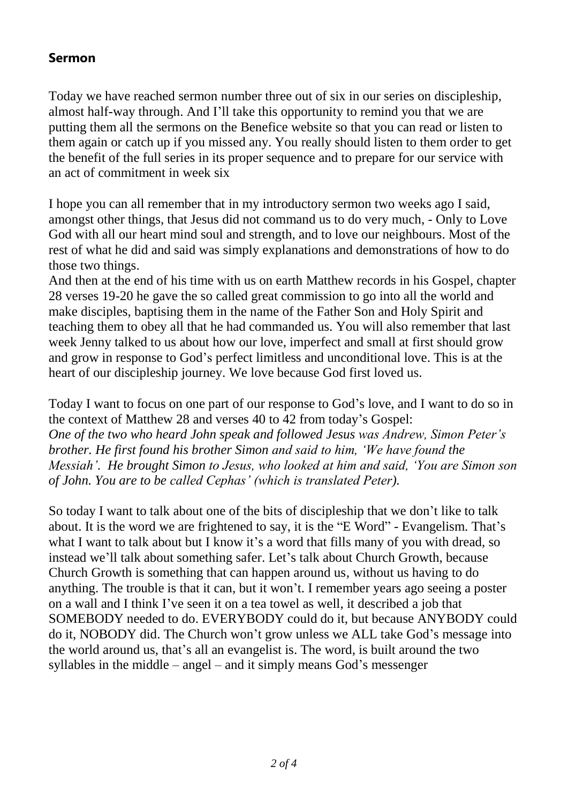## **Sermon**

Today we have reached sermon number three out of six in our series on discipleship, almost half-way through. And I'll take this opportunity to remind you that we are putting them all the sermons on the Benefice website so that you can read or listen to them again or catch up if you missed any. You really should listen to them order to get the benefit of the full series in its proper sequence and to prepare for our service with an act of commitment in week six

I hope you can all remember that in my introductory sermon two weeks ago I said, amongst other things, that Jesus did not command us to do very much, - Only to Love God with all our heart mind soul and strength, and to love our neighbours. Most of the rest of what he did and said was simply explanations and demonstrations of how to do those two things.

And then at the end of his time with us on earth Matthew records in his Gospel, chapter 28 verses 19-20 he gave the so called great commission to go into all the world and make disciples, baptising them in the name of the Father Son and Holy Spirit and teaching them to obey all that he had commanded us. You will also remember that last week Jenny talked to us about how our love, imperfect and small at first should grow and grow in response to God's perfect limitless and unconditional love. This is at the heart of our discipleship journey. We love because God first loved us.

Today I want to focus on one part of our response to God's love, and I want to do so in the context of Matthew 28 and verses 40 to 42 from today's Gospel: *One of the two who heard John speak and followed Jesus was Andrew, Simon Peter's brother. He first found his brother Simon and said to him, 'We have found the Messiah'. He brought Simon to Jesus, who looked at him and said, 'You are Simon son of John. You are to be called Cephas' (which is translated Peter).*

So today I want to talk about one of the bits of discipleship that we don't like to talk about. It is the word we are frightened to say, it is the "E Word" - Evangelism. That's what I want to talk about but I know it's a word that fills many of you with dread, so instead we'll talk about something safer. Let's talk about Church Growth, because Church Growth is something that can happen around us, without us having to do anything. The trouble is that it can, but it won't. I remember years ago seeing a poster on a wall and I think I've seen it on a tea towel as well, it described a job that SOMEBODY needed to do. EVERYBODY could do it, but because ANYBODY could do it, NOBODY did. The Church won't grow unless we ALL take God's message into the world around us, that's all an evangelist is. The word, is built around the two syllables in the middle – angel – and it simply means God's messenger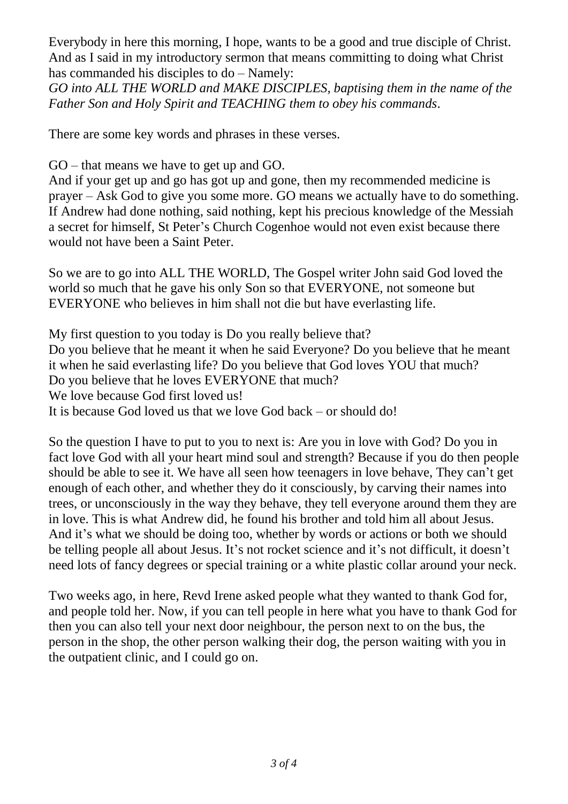Everybody in here this morning, I hope, wants to be a good and true disciple of Christ. And as I said in my introductory sermon that means committing to doing what Christ has commanded his disciples to do – Namely:

*GO into ALL THE WORLD and MAKE DISCIPLES, baptising them in the name of the Father Son and Holy Spirit and TEACHING them to obey his commands*.

There are some key words and phrases in these verses.

GO – that means we have to get up and GO.

And if your get up and go has got up and gone, then my recommended medicine is prayer – Ask God to give you some more. GO means we actually have to do something. If Andrew had done nothing, said nothing, kept his precious knowledge of the Messiah a secret for himself, St Peter's Church Cogenhoe would not even exist because there would not have been a Saint Peter.

So we are to go into ALL THE WORLD, The Gospel writer John said God loved the world so much that he gave his only Son so that EVERYONE, not someone but EVERYONE who believes in him shall not die but have everlasting life.

My first question to you today is Do you really believe that? Do you believe that he meant it when he said Everyone? Do you believe that he meant it when he said everlasting life? Do you believe that God loves YOU that much? Do you believe that he loves EVERYONE that much? We love because God first loved us! It is because God loved us that we love God back – or should do!

So the question I have to put to you to next is: Are you in love with God? Do you in fact love God with all your heart mind soul and strength? Because if you do then people should be able to see it. We have all seen how teenagers in love behave, They can't get enough of each other, and whether they do it consciously, by carving their names into trees, or unconsciously in the way they behave, they tell everyone around them they are in love. This is what Andrew did, he found his brother and told him all about Jesus. And it's what we should be doing too, whether by words or actions or both we should be telling people all about Jesus. It's not rocket science and it's not difficult, it doesn't need lots of fancy degrees or special training or a white plastic collar around your neck.

Two weeks ago, in here, Revd Irene asked people what they wanted to thank God for, and people told her. Now, if you can tell people in here what you have to thank God for then you can also tell your next door neighbour, the person next to on the bus, the person in the shop, the other person walking their dog, the person waiting with you in the outpatient clinic, and I could go on.